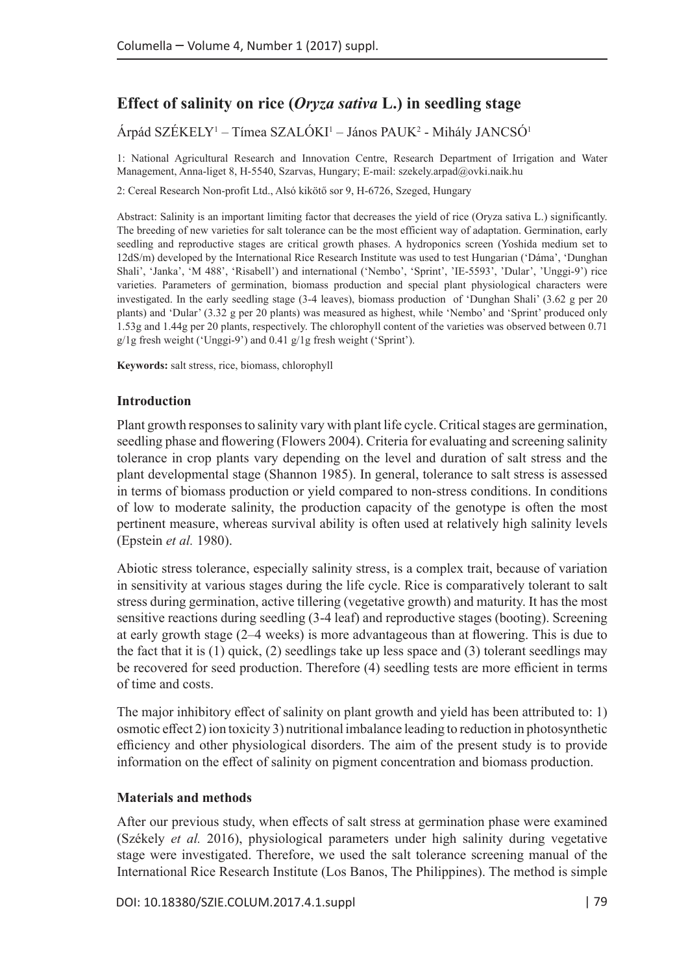# **Effect of salinity on rice (***Oryza sativa* **L.) in seedling stage**

Árpád SZÉKELY<sup>1</sup> – Tímea SZALÓKI<sup>1</sup> – János PAUK<sup>2</sup> - Mihály JANCSÓ<sup>1</sup>

1: National Agricultural Research and Innovation Centre, Research Department of Irrigation and Water Management, Anna-liget 8, H-5540, Szarvas, Hungary; E-mail: [szekely.arpad@ovki.naik.hu](mailto:szekely.arpad@ovki.naik.hu)

2: Cereal Research Non-profit Ltd., Alsó kikötő sor 9, H-6726, Szeged, Hungary

Abstract: Salinity is an important limiting factor that decreases the yield of rice (Oryza sativa L.) significantly. The breeding of new varieties for salt tolerance can be the most efficient way of adaptation. Germination, early seedling and reproductive stages are critical growth phases. A hydroponics screen (Yoshida medium set to 12dS/m) developed by the International Rice Research Institute was used to test Hungarian ('Dáma', 'Dunghan Shali', 'Janka', 'M 488', 'Risabell') and international ('Nembo', 'Sprint', 'IE-5593', 'Dular', 'Unggi-9') rice varieties. Parameters of germination, biomass production and special plant physiological characters were investigated. In the early seedling stage (3-4 leaves), biomass production of 'Dunghan Shali' (3.62 g per 20 plants) and 'Dular' (3.32 g per 20 plants) was measured as highest, while 'Nembo' and 'Sprint' produced only 1.53g and 1.44g per 20 plants, respectively. The chlorophyll content of the varieties was observed between 0.71 g/1g fresh weight ('Unggi-9') and 0.41 g/1g fresh weight ('Sprint').

**Keywords:** salt stress, rice, biomass, chlorophyll

#### **Introduction**

Plant growth responses to salinity vary with plant life cycle. Critical stages are germination, seedling phase and flowering (Flowers 2004). Criteria for evaluating and screening salinity tolerance in crop plants vary depending on the level and duration of salt stress and the plant developmental stage (Shannon 1985). In general, tolerance to salt stress is assessed in terms of biomass production or yield compared to non-stress conditions. In conditions of low to moderate salinity, the production capacity of the genotype is often the most pertinent measure, whereas survival ability is often used at relatively high salinity levels (Epstein *et al.* 1980).

Abiotic stress tolerance, especially salinity stress, is a complex trait, because of variation in sensitivity at various stages during the life cycle. Rice is comparatively tolerant to salt stress during germination, active tillering (vegetative growth) and maturity. It has the most sensitive reactions during seedling (3-4 leaf) and reproductive stages (booting). Screening at early growth stage (2–4 weeks) is more advantageous than at flowering. This is due to the fact that it is  $(1)$  quick,  $(2)$  seedlings take up less space and  $(3)$  tolerant seedlings may be recovered for seed production. Therefore (4) seedling tests are more efficient in terms of time and costs.

The major inhibitory effect of salinity on plant growth and yield has been attributed to: 1) osmotic effect 2) ion toxicity 3) nutritional imbalance leading to reduction in photosynthetic efficiency and other physiological disorders. The aim of the present study is to provide information on the effect of salinity on pigment concentration and biomass production.

### **Materials and methods**

After our previous study, when effects of salt stress at germination phase were examined (Székely *et al.* 2016), physiological parameters under high salinity during vegetative stage were investigated. Therefore, we used the salt tolerance screening manual of the International Rice Research Institute (Los Banos, The Philippines). The method is simple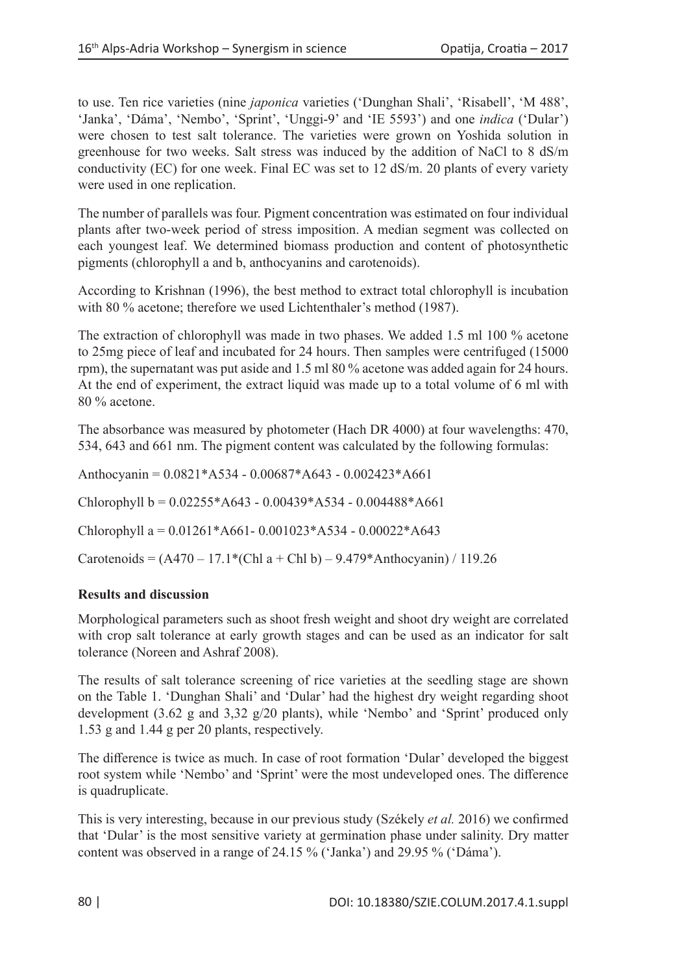to use. Ten rice varieties (nine *japonica* varieties ('Dunghan Shali', 'Risabell', 'M 488', 'Janka', 'Dáma', 'Nembo', 'Sprint', 'Unggi-9' and 'IE 5593') and one *indica* ('Dular') were chosen to test salt tolerance. The varieties were grown on Yoshida solution in greenhouse for two weeks. Salt stress was induced by the addition of NaCl to 8 dS/m conductivity (EC) for one week. Final EC was set to 12 dS/m. 20 plants of every variety were used in one replication.

The number of parallels was four. Pigment concentration was estimated on four individual plants after two-week period of stress imposition. A median segment was collected on each youngest leaf. We determined biomass production and content of photosynthetic pigments (chlorophyll a and b, anthocyanins and carotenoids).

According to Krishnan (1996), the best method to extract total chlorophyll is incubation with 80 % acetone; therefore we used Lichtenthaler's method (1987).

The extraction of chlorophyll was made in two phases. We added 1.5 ml 100 % acetone to 25mg piece of leaf and incubated for 24 hours. Then samples were centrifuged (15000 rpm), the supernatant was put aside and 1.5 ml 80 % acetone was added again for 24 hours. At the end of experiment, the extract liquid was made up to a total volume of 6 ml with 80 % acetone.

The absorbance was measured by photometer (Hach DR 4000) at four wavelengths: 470, 534, 643 and 661 nm. The pigment content was calculated by the following formulas:

Anthocyanin = 0.0821\*A534 - 0.00687\*A643 - 0.002423\*A661

Chlorophyll  $b = 0.02255 * A643 - 0.00439 * A534 - 0.004488 * A661$ 

Chlorophyll a =  $0.01261*Ad61-0.001023*Ad534-0.00022*Ad53$ 

Carotenoids =  $(A470 - 17.1*(Chl a + Chl b) - 9.479*Anthocyanin) / 119.26$ 

## **Results and discussion**

Morphological parameters such as shoot fresh weight and shoot dry weight are correlated with crop salt tolerance at early growth stages and can be used as an indicator for salt tolerance (Noreen and Ashraf 2008).

The results of salt tolerance screening of rice varieties at the seedling stage are shown on the Table 1. 'Dunghan Shali' and 'Dular' had the highest dry weight regarding shoot development (3.62 g and 3,32 g/20 plants), while 'Nembo' and 'Sprint' produced only 1.53 g and 1.44 g per 20 plants, respectively.

The difference is twice as much. In case of root formation 'Dular' developed the biggest root system while 'Nembo' and 'Sprint' were the most undeveloped ones. The difference is quadruplicate.

This is very interesting, because in our previous study (Székely *et al.* 2016) we confirmed that 'Dular' is the most sensitive variety at germination phase under salinity. Dry matter content was observed in a range of 24.15 % ('Janka') and 29.95 % ('Dáma').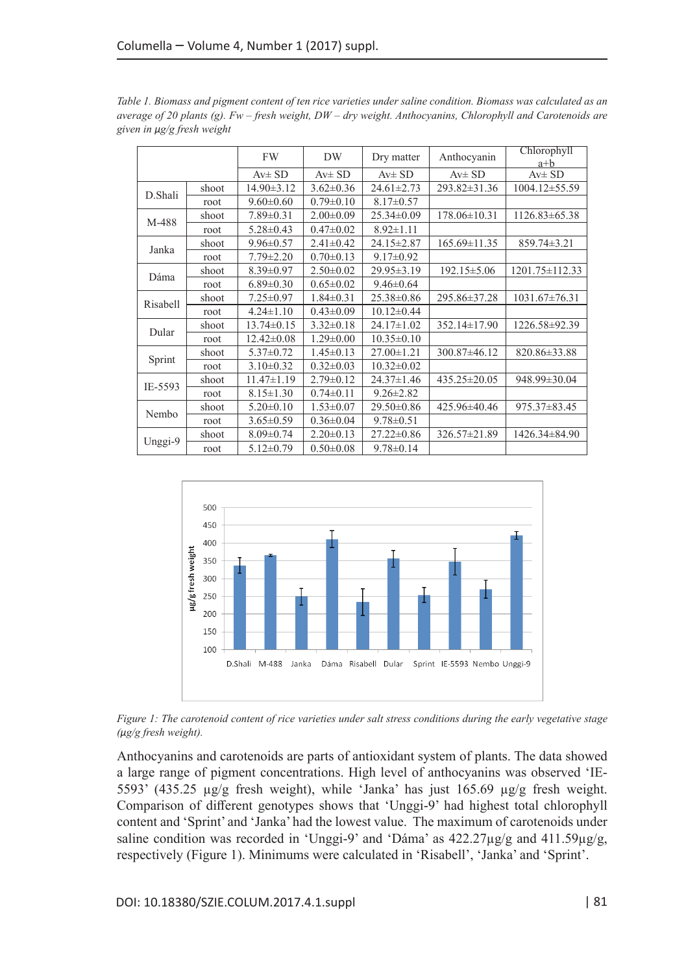|          |       | FW               | DW              | Dry matter       | Anthocyanin        | Chlorophyll<br>$a + b$ |
|----------|-------|------------------|-----------------|------------------|--------------------|------------------------|
|          |       | $Av \pm SD$      | $Av \pm SD$     | $Av \pm SD$      | $Av \pm SD$        | $Av \pm SD$            |
| D.Shali  | shoot | $14.90 \pm 3.12$ | $3.62 \pm 0.36$ | $24.61 \pm 2.73$ | 293.82±31.36       | $1004.12 \pm 55.59$    |
|          | root  | $9.60 \pm 0.60$  | $0.79 \pm 0.10$ | $8.17 \pm 0.57$  |                    |                        |
| M-488    | shoot | $7.89 \pm 0.31$  | $2.00\pm0.09$   | $25.34 \pm 0.09$ | $178.06 \pm 10.31$ | $1126.83\pm 65.38$     |
|          | root  | $5.28 \pm 0.43$  | $0.47 \pm 0.02$ | $8.92 \pm 1.11$  |                    |                        |
| Janka    | shoot | $9.96 \pm 0.57$  | $2.41 \pm 0.42$ | 24.15±2.87       | $165.69 \pm 11.35$ | 859.74±3.21            |
|          | root  | $7.79 \pm 2.20$  | $0.70 \pm 0.13$ | $9.17 \pm 0.92$  |                    |                        |
| Dáma     | shoot | $8.39 \pm 0.97$  | $2.50 \pm 0.02$ | 29.95 ± 3.19     | $192.15 \pm 5.06$  | $1201.75 \pm 112.33$   |
|          | root  | $6.89 \pm 0.30$  | $0.65 \pm 0.02$ | $9.46 \pm 0.64$  |                    |                        |
| Risabell | shoot | $7.25 \pm 0.97$  | $1.84 \pm 0.31$ | 25.38±0.86       | 295.86±37.28       | $1031.67 \pm 76.31$    |
|          | root  | $4.24 \pm 1.10$  | $0.43 \pm 0.09$ | $10.12 \pm 0.44$ |                    |                        |
| Dular    | shoot | $13.74 \pm 0.15$ | $3.32 \pm 0.18$ | $24.17 \pm 1.02$ | 352.14±17.90       | 1226.58±92.39          |
|          | root  | $12.42 \pm 0.08$ | $1.29 \pm 0.00$ | $10.35 \pm 0.10$ |                    |                        |
| Sprint   | shoot | $5.37 \pm 0.72$  | $1.45 \pm 0.13$ | $27.00 \pm 1.21$ | 300.87±46.12       | 820.86±33.88           |
|          | root  | $3.10 \pm 0.32$  | $0.32 \pm 0.03$ | $10.32 \pm 0.02$ |                    |                        |
| IE-5593  | shoot | $11.47 \pm 1.19$ | $2.79 \pm 0.12$ | 24.37±1.46       | 435.25±20.05       | 948.99±30.04           |
|          | root  | $8.15 \pm 1.30$  | $0.74 \pm 0.11$ | $9.26 \pm 2.82$  |                    |                        |
| Nembo    | shoot | $5.20 \pm 0.10$  | $1.53 \pm 0.07$ | 29.50±0.86       | 425.96±40.46       | 975.37±83.45           |
|          | root  | $3.65 \pm 0.59$  | $0.36 \pm 0.04$ | $9.78 \pm 0.51$  |                    |                        |
| Unggi-9  | shoot | $8.09 \pm 0.74$  | $2.20 \pm 0.13$ | $27.22 \pm 0.86$ | 326.57±21.89       | 1426.34±84.90          |
|          | root  | $5.12 \pm 0.79$  | $0.50 \pm 0.08$ | $9.78 \pm 0.14$  |                    |                        |

*Table 1. Biomass and pigment content of ten rice varieties under saline condition. Biomass was calculated as an average of 20 plants (g). Fw – fresh weight, DW – dry weight. Anthocyanins, Chlorophyll and Carotenoids are given in µg/g fresh weight*



*Figure 1: The carotenoid content of rice varieties under salt stress conditions during the early vegetative stage (µg/g fresh weight).* 

Anthocyanins and carotenoids are parts of antioxidant system of plants. The data showed a large range of pigment concentrations. High level of anthocyanins was observed 'IE-5593' (435.25 µg/g fresh weight), while 'Janka' has just 165.69 µg/g fresh weight. Comparison of different genotypes shows that 'Unggi-9' had highest total chlorophyll content and 'Sprint' and 'Janka' had the lowest value. The maximum of carotenoids under saline condition was recorded in 'Unggi-9' and 'Dáma' as  $422.27 \mu g/g$  and  $411.59 \mu g/g$ , respectively (Figure 1). Minimums were calculated in 'Risabell', 'Janka' and 'Sprint'.